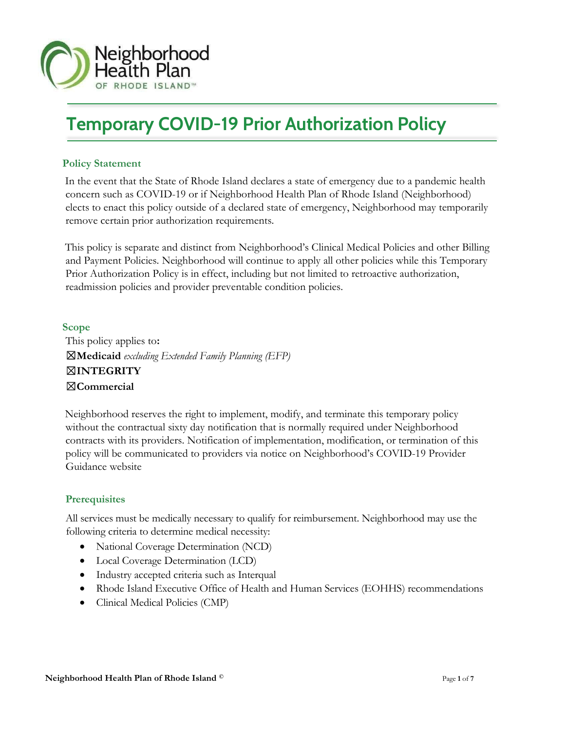

# Temporary COVID-19 Prior Authorization Policy

# Policy Statement

Ī

In the event that the State of Rhode Island declares a state of emergency due to a pandemic health concern such as COVID-19 or if Neighborhood Health Plan of Rhode Island (Neighborhood) elects to enact this policy outside of a declared state of emergency, Neighborhood may temporarily remove certain prior authorization requirements.

This policy is separate and distinct from Neighborhood's Clinical Medical Policies and other Billing and Payment Policies. Neighborhood will continue to apply all other policies while this Temporary Prior Authorization Policy is in effect, including but not limited to retroactive authorization, readmission policies and provider preventable condition policies.

Scope This policy applies to:  $\boxtimes$ Medicaid excluding Extended Family Planning (EFP) ☒INTEGRITY ☒Commercial

Neighborhood reserves the right to implement, modify, and terminate this temporary policy without the contractual sixty day notification that is normally required under Neighborhood contracts with its providers. Notification of implementation, modification, or termination of this policy will be communicated to providers via notice on Neighborhood's COVID-19 Provider Guidance website

# **Prerequisites**

All services must be medically necessary to qualify for reimbursement. Neighborhood may use the following criteria to determine medical necessity:

- National Coverage Determination (NCD)
- Local Coverage Determination (LCD)
- Industry accepted criteria such as Interqual
- Rhode Island Executive Office of Health and Human Services (EOHHS) recommendations
- Clinical Medical Policies (CMP)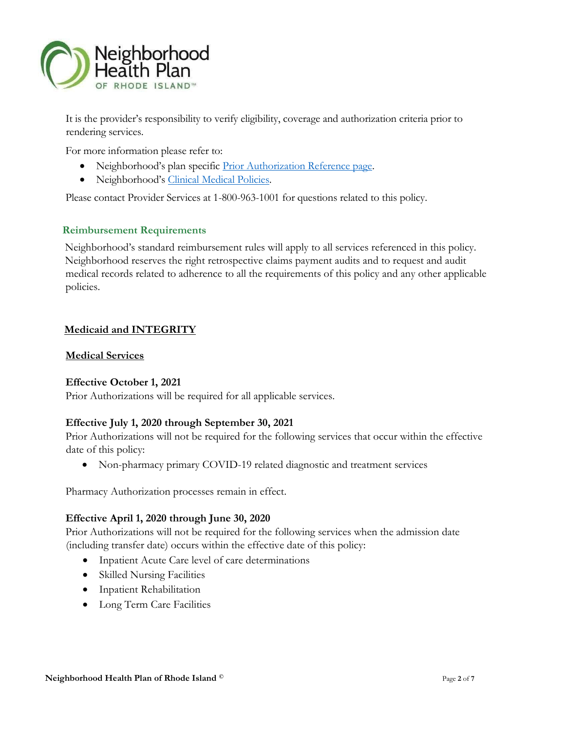

It is the provider's responsibility to verify eligibility, coverage and authorization criteria prior to rendering services.

For more information please refer to:

- Neighborhood's plan specific *Prior Authorization Reference page*.
- Neighborhood's Clinical Medical Policies.

Please contact Provider Services at 1-800-963-1001 for questions related to this policy.

# Reimbursement Requirements

Neighborhood's standard reimbursement rules will apply to all services referenced in this policy. Neighborhood reserves the right retrospective claims payment audits and to request and audit medical records related to adherence to all the requirements of this policy and any other applicable policies.

# Medicaid and INTEGRITY

#### Medical Services

# Effective October 1, 2021

Prior Authorizations will be required for all applicable services.

# Effective July 1, 2020 through September 30, 2021

Prior Authorizations will not be required for the following services that occur within the effective date of this policy:

Non-pharmacy primary COVID-19 related diagnostic and treatment services

Pharmacy Authorization processes remain in effect.

#### Effective April 1, 2020 through June 30, 2020

Prior Authorizations will not be required for the following services when the admission date (including transfer date) occurs within the effective date of this policy:

- Inpatient Acute Care level of care determinations
- Skilled Nursing Facilities
- Inpatient Rehabilitation
- Long Term Care Facilities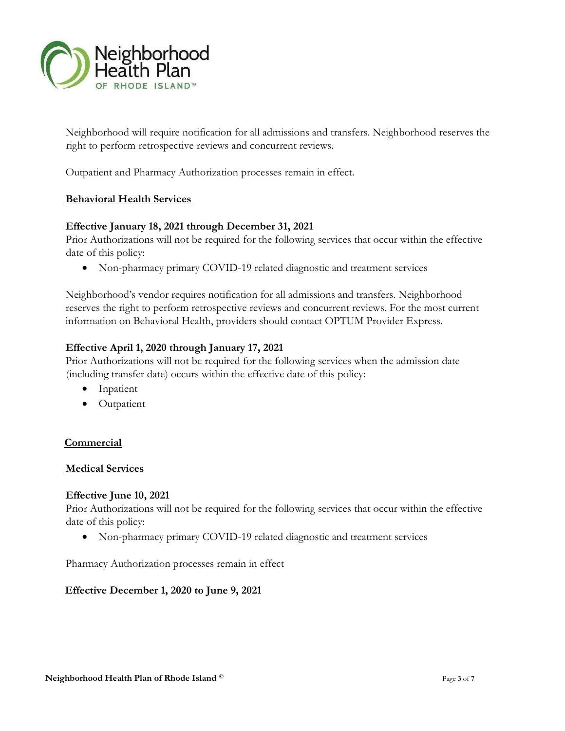

Neighborhood will require notification for all admissions and transfers. Neighborhood reserves the right to perform retrospective reviews and concurrent reviews.

Outpatient and Pharmacy Authorization processes remain in effect.

#### Behavioral Health Services

#### Effective January 18, 2021 through December 31, 2021

Prior Authorizations will not be required for the following services that occur within the effective date of this policy:

Non-pharmacy primary COVID-19 related diagnostic and treatment services

Neighborhood's vendor requires notification for all admissions and transfers. Neighborhood reserves the right to perform retrospective reviews and concurrent reviews. For the most current information on Behavioral Health, providers should contact OPTUM Provider Express.

#### Effective April 1, 2020 through January 17, 2021

Prior Authorizations will not be required for the following services when the admission date (including transfer date) occurs within the effective date of this policy:

- Inpatient
- Outpatient

#### **Commercial**

#### Medical Services

#### Effective June 10, 2021

Prior Authorizations will not be required for the following services that occur within the effective date of this policy:

Non-pharmacy primary COVID-19 related diagnostic and treatment services

Pharmacy Authorization processes remain in effect

#### Effective December 1, 2020 to June 9, 2021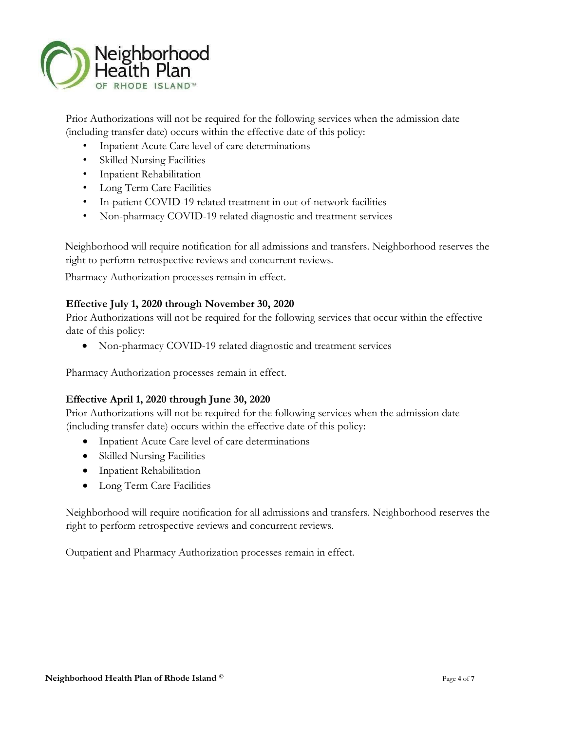

Prior Authorizations will not be required for the following services when the admission date (including transfer date) occurs within the effective date of this policy:

- Inpatient Acute Care level of care determinations
- Skilled Nursing Facilities
- Inpatient Rehabilitation
- Long Term Care Facilities
- In-patient COVID-19 related treatment in out-of-network facilities
- Non-pharmacy COVID-19 related diagnostic and treatment services

Neighborhood will require notification for all admissions and transfers. Neighborhood reserves the right to perform retrospective reviews and concurrent reviews.

Pharmacy Authorization processes remain in effect.

# Effective July 1, 2020 through November 30, 2020

Prior Authorizations will not be required for the following services that occur within the effective date of this policy:

Non-pharmacy COVID-19 related diagnostic and treatment services

Pharmacy Authorization processes remain in effect.

# Effective April 1, 2020 through June 30, 2020

Prior Authorizations will not be required for the following services when the admission date (including transfer date) occurs within the effective date of this policy:

- Inpatient Acute Care level of care determinations
- Skilled Nursing Facilities
- Inpatient Rehabilitation
- Long Term Care Facilities

Neighborhood will require notification for all admissions and transfers. Neighborhood reserves the right to perform retrospective reviews and concurrent reviews.

Outpatient and Pharmacy Authorization processes remain in effect.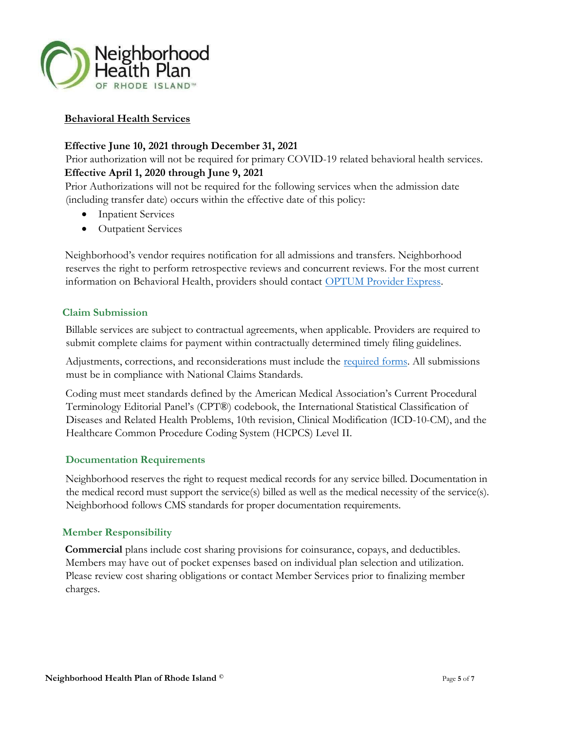

# Behavioral Health Services

# Effective June 10, 2021 through December 31, 2021

Prior authorization will not be required for primary COVID-19 related behavioral health services.

# Effective April 1, 2020 through June 9, 2021

Prior Authorizations will not be required for the following services when the admission date (including transfer date) occurs within the effective date of this policy:

- Inpatient Services
- Outpatient Services

Neighborhood's vendor requires notification for all admissions and transfers. Neighborhood reserves the right to perform retrospective reviews and concurrent reviews. For the most current information on Behavioral Health, providers should contact OPTUM Provider Express.

# Claim Submission

Billable services are subject to contractual agreements, when applicable. Providers are required to submit complete claims for payment within contractually determined timely filing guidelines.

Adjustments, corrections, and reconsiderations must include the required forms. All submissions must be in compliance with National Claims Standards.

Coding must meet standards defined by the American Medical Association's Current Procedural Terminology Editorial Panel's (CPT®) codebook, the International Statistical Classification of Diseases and Related Health Problems, 10th revision, Clinical Modification (ICD-10-CM), and the Healthcare Common Procedure Coding System (HCPCS) Level II.

# Documentation Requirements

Neighborhood reserves the right to request medical records for any service billed. Documentation in the medical record must support the service(s) billed as well as the medical necessity of the service(s). Neighborhood follows CMS standards for proper documentation requirements.

# Member Responsibility

Commercial plans include cost sharing provisions for coinsurance, copays, and deductibles. Members may have out of pocket expenses based on individual plan selection and utilization. Please review cost sharing obligations or contact Member Services prior to finalizing member charges.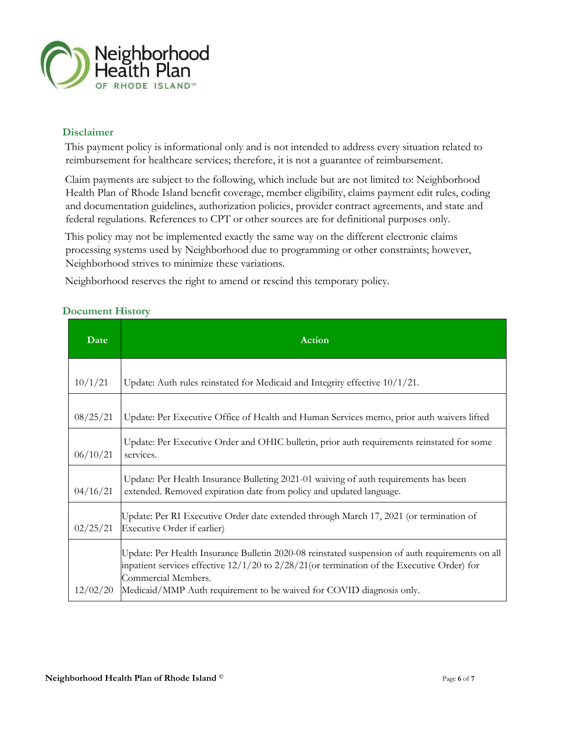

# Disclaimer

This payment policy is informational only and is not intended to address every situation related to reimbursement for healthcare services; therefore, it is not a guarantee of reimbursement.

Claim payments are subject to the following, which include but are not limited to: Neighborhood Health Plan of Rhode Island benefit coverage, member eligibility, claims payment edit rules, coding and documentation guidelines, authorization policies, provider contract agreements, and state and federal regulations. References to CPT or other sources are for definitional purposes only.

This policy may not be implemented exactly the same way on the different electronic claims processing systems used by Neighborhood due to programming or other constraints; however, Neighborhood strives to minimize these variations.

Neighborhood reserves the right to amend or rescind this temporary policy.

| <b>Document History</b> |  |
|-------------------------|--|
|-------------------------|--|

| Date     | Action                                                                                                                                                                                                                                                                                            |
|----------|---------------------------------------------------------------------------------------------------------------------------------------------------------------------------------------------------------------------------------------------------------------------------------------------------|
| 10/1/21  | Update: Auth rules reinstated for Medicaid and Integrity effective $10/1/21$ .                                                                                                                                                                                                                    |
| 08/25/21 | Update: Per Executive Office of Health and Human Services memo, prior auth waivers lifted                                                                                                                                                                                                         |
| 06/10/21 | Update: Per Executive Order and OHIC bulletin, prior auth requirements reinstated for some<br>services.                                                                                                                                                                                           |
| 04/16/21 | Update: Per Health Insurance Bulleting 2021-01 waiving of auth requirements has been<br>extended. Removed expiration date from policy and updated language.                                                                                                                                       |
| 02/25/21 | Update: Per RI Executive Order date extended through March 17, 2021 (or termination of<br>Executive Order if earlier)                                                                                                                                                                             |
| 12/02/20 | Update: Per Health Insurance Bulletin 2020-08 reinstated suspension of auth requirements on all<br>inpatient services effective $12/1/20$ to $2/28/21$ (or termination of the Executive Order) for<br>Commercial Members.<br>Medicaid/MMP Auth requirement to be waived for COVID diagnosis only. |